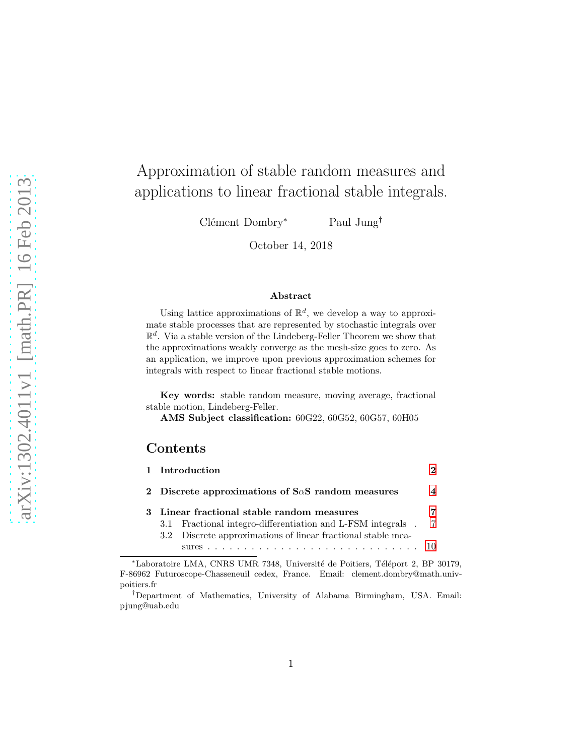# Approximation of stable random measures and applications to linear fractional stable integrals.

Clément Dombry<sup>∗</sup> Paul Jung<sup>†</sup>

October 14, 2018

#### Abstract

Using lattice approximations of  $\mathbb{R}^d$ , we develop a way to approximate stable processes that are represented by stochastic integrals over  $\mathbb{R}^d$ . Via a stable version of the Lindeberg-Feller Theorem we show that the approximations weakly converge as the mesh-size goes to zero. As an application, we improve upon previous approximation schemes for integrals with respect to linear fractional stable motions.

Key words: stable random measure, moving average, fractional stable motion, Lindeberg-Feller.

AMS Subject classification: 60G22, 60G52, 60G57, 60H05

#### Contents

|   |                                                          | 1 Introduction                                               |  |
|---|----------------------------------------------------------|--------------------------------------------------------------|--|
|   | 2 Discrete approximations of $S\alpha S$ random measures |                                                              |  |
| 3 | Linear fractional stable random measures                 |                                                              |  |
|   | 3.1                                                      | Fractional integro-differentiation and L-FSM integrals.      |  |
|   |                                                          | 3.2 Discrete approximations of linear fractional stable mea- |  |
|   |                                                          |                                                              |  |

<sup>\*</sup>Laboratoire LMA, CNRS UMR 7348, Université de Poitiers, Téléport 2, BP 30179, F-86962 Futuroscope-Chasseneuil cedex, France. Email: clement.dombry@math.univpoitiers.fr

<sup>†</sup>Department of Mathematics, University of Alabama Birmingham, USA. Email: pjung@uab.edu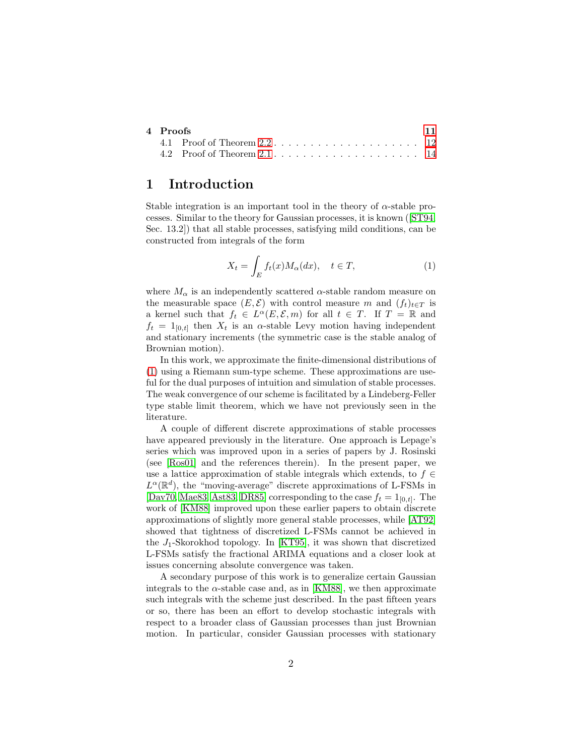| 4 Proofs |                                                                                | 11 |
|----------|--------------------------------------------------------------------------------|----|
|          | 4.1 Proof of Theorem $2.2 \ldots \ldots \ldots \ldots \ldots \ldots \ldots 12$ |    |
|          |                                                                                |    |

### <span id="page-1-0"></span>1 Introduction

Stable integration is an important tool in the theory of  $\alpha$ -stable processes. Similar to the theory for Gaussian processes, it is known([\[ST94,](#page-17-0) Sec. 13.2]) that all stable processes, satisfying mild conditions, can be constructed from integrals of the form

<span id="page-1-1"></span>
$$
X_t = \int_E f_t(x) M_\alpha(dx), \quad t \in T,
$$
\n(1)

where  $M_{\alpha}$  is an independently scattered  $\alpha$ -stable random measure on the measurable space  $(E, \mathcal{E})$  with control measure m and  $(f_t)_{t \in T}$  is a kernel such that  $f_t \in L^{\alpha}(E, \mathcal{E}, m)$  for all  $t \in T$ . If  $T = \mathbb{R}$  and  $f_t = 1_{[0,t]}$  then  $X_t$  is an  $\alpha$ -stable Levy motion having independent and stationary increments (the symmetric case is the stable analog of Brownian motion).

In this work, we approximate the finite-dimensional distributions of [\(1\)](#page-1-1) using a Riemann sum-type scheme. These approximations are useful for the dual purposes of intuition and simulation of stable processes. The weak convergence of our scheme is facilitated by a Lindeberg-Feller type stable limit theorem, which we have not previously seen in the literature.

A couple of different discrete approximations of stable processes have appeared previously in the literature. One approach is Lepage's series which was improved upon in a series of papers by J. Rosinski (see [\[Ros01\]](#page-17-1) and the references therein). In the present paper, we use a lattice approximation of stable integrals which extends, to  $f \in$  $L^{\alpha}(\mathbb{R}^d)$ , the "moving-average" discrete approximations of L-FSMs in [\[Dav70,](#page-16-0) [Mae83,](#page-16-1) [Ast83,](#page-15-0) [DR85\]](#page-16-2) corresponding to the case  $f_t = 1_{[0,t]}$ . The work of [\[KM88\]](#page-16-3) improved upon these earlier papers to obtain discrete approximations of slightly more general stable processes, while [\[AT92\]](#page-15-1) showed that tightness of discretized L-FSMs cannot be achieved in the  $J_1$ -Skorokhod topology. In [\[KT95\]](#page-16-4), it was shown that discretized L-FSMs satisfy the fractional ARIMA equations and a closer look at issues concerning absolute convergence was taken.

A secondary purpose of this work is to generalize certain Gaussian integrals to the  $\alpha$ -stable case and, as in [\[KM88\]](#page-16-3), we then approximate such integrals with the scheme just described. In the past fifteen years or so, there has been an effort to develop stochastic integrals with respect to a broader class of Gaussian processes than just Brownian motion. In particular, consider Gaussian processes with stationary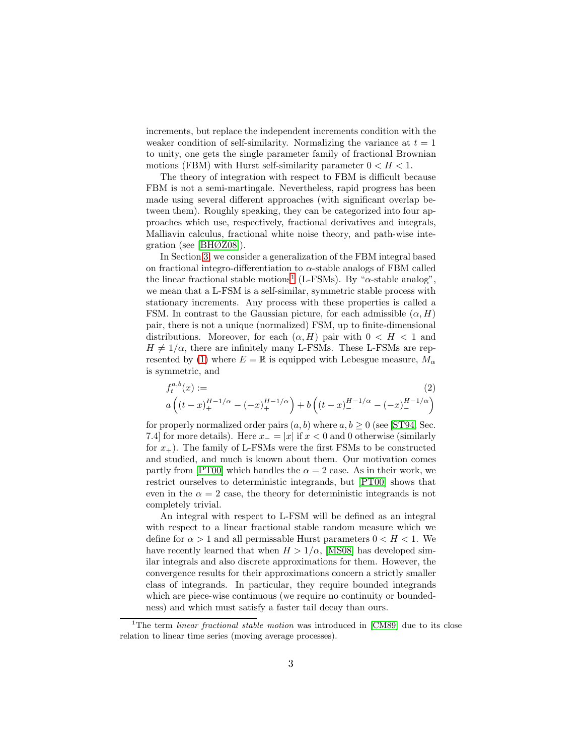increments, but replace the independent increments condition with the weaker condition of self-similarity. Normalizing the variance at  $t = 1$ to unity, one gets the single parameter family of fractional Brownian motions (FBM) with Hurst self-similarity parameter  $0 < H < 1$ .

The theory of integration with respect to FBM is difficult because FBM is not a semi-martingale. Nevertheless, rapid progress has been made using several different approaches (with significant overlap between them). Roughly speaking, they can be categorized into four approaches which use, respectively, fractional derivatives and integrals, Malliavin calculus, fractional white noise theory, and path-wise integration (see [\[BHØZ08\]](#page-16-5)).

In Section [3,](#page-6-0) we consider a generalization of the FBM integral based on fractional integro-differentiation to  $\alpha$ -stable analogs of FBM called the linear fractional stable motions<sup>[1](#page-2-0)</sup> (L-FSMs). By " $\alpha$ -stable analog", we mean that a L-FSM is a self-similar, symmetric stable process with stationary increments. Any process with these properties is called a FSM. In contrast to the Gaussian picture, for each admissible  $(\alpha, H)$ pair, there is not a unique (normalized) FSM, up to finite-dimensional distributions. Moreover, for each  $(\alpha, H)$  pair with  $0 < H < 1$  and  $H \neq 1/\alpha$ , there are infinitely many L-FSMs. These L-FSMs are rep-resented by [\(1\)](#page-1-1) where  $E = \mathbb{R}$  is equipped with Lebesgue measure,  $M_{\alpha}$ is symmetric, and

<span id="page-2-1"></span>
$$
f_t^{a,b}(x) :=
$$
\n
$$
a\left((t-x)_+^{H-1/\alpha} - (-x)_+^{H-1/\alpha}\right) + b\left((t-x)_-^{H-1/\alpha} - (-x)_-^{H-1/\alpha}\right)
$$
\n(2)

for properly normalized order pairs  $(a, b)$  where  $a, b \geq 0$  (see [\[ST94,](#page-17-0) Sec. 7.4] for more details). Here  $x_-=|x|$  if  $x<0$  and 0 otherwise (similarly for  $x_{+}$ ). The family of L-FSMs were the first FSMs to be constructed and studied, and much is known about them. Our motivation comes partly from [\[PT00\]](#page-16-6) which handles the  $\alpha = 2$  case. As in their work, we restrict ourselves to deterministic integrands, but [\[PT00\]](#page-16-6) shows that even in the  $\alpha = 2$  case, the theory for deterministic integrands is not completely trivial.

An integral with respect to L-FSM will be defined as an integral with respect to a linear fractional stable random measure which we define for  $\alpha > 1$  and all permissable Hurst parameters  $0 < H < 1$ . We have recently learned that when  $H > 1/\alpha$ , [\[MS08\]](#page-16-7) has developed similar integrals and also discrete approximations for them. However, the convergence results for their approximations concern a strictly smaller class of integrands. In particular, they require bounded integrands which are piece-wise continuous (we require no continuity or boundedness) and which must satisfy a faster tail decay than ours.

<span id="page-2-0"></span><sup>&</sup>lt;sup>1</sup>The term *linear fractional stable motion* was introduced in [\[CM89\]](#page-16-8) due to its close relation to linear time series (moving average processes).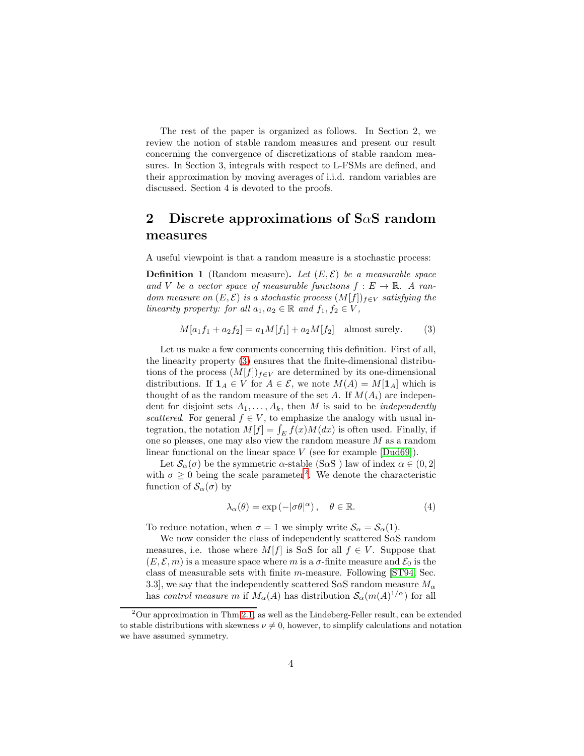The rest of the paper is organized as follows. In Section 2, we review the notion of stable random measures and present our result concerning the convergence of discretizations of stable random measures. In Section 3, integrals with respect to L-FSMs are defined, and their approximation by moving averages of i.i.d. random variables are discussed. Section 4 is devoted to the proofs.

## <span id="page-3-0"></span>2 Discrete approximations of S $\alpha$ S random measures

A useful viewpoint is that a random measure is a stochastic process:

**Definition 1** (Random measure). Let  $(E, \mathcal{E})$  be a measurable space and V be a vector space of measurable functions  $f: E \to \mathbb{R}$ . A ran*dom measure on*  $(E, \mathcal{E})$  *is a stochastic process*  $(M[f])_{f \in V}$  *satisfying the linearity property: for all*  $a_1, a_2 \in \mathbb{R}$  *and*  $f_1, f_2 \in V$ *,* 

<span id="page-3-1"></span>
$$
M[a_1f_1 + a_2f_2] = a_1M[f_1] + a_2M[f_2] \text{ almost surely.}
$$
 (3)

Let us make a few comments concerning this definition. First of all, the linearity property [\(3\)](#page-3-1) ensures that the finite-dimensional distributions of the process  $(M[f])_{f\in V}$  are determined by its one-dimensional distributions. If  $\mathbf{1}_A \in V$  for  $A \in \mathcal{E}$ , we note  $M(A) = M[\mathbf{1}_A]$  which is thought of as the random measure of the set A. If  $M(A_i)$  are independent for disjoint sets  $A_1, \ldots, A_k$ , then M is said to be *independently scattered*. For general  $f \in V$ , to emphasize the analogy with usual integration, the notation  $M[f] = \int_E f(x)M(dx)$  is often used. Finally, if one so pleases, one may also view the random measure  $M$  as a random linear functional on the linear space  $V$  (see for example  $[Dud69]$ ).

Let  $\mathcal{S}_{\alpha}(\sigma)$  be the symmetric  $\alpha$ -stable (S $\alpha$ S) law of index  $\alpha \in (0, 2]$ with  $\sigma \geq 0$  being the scale parameter<sup>[2](#page-3-2)</sup>. We denote the characteristic function of  $\mathcal{S}_{\alpha}(\sigma)$  by

<span id="page-3-3"></span>
$$
\lambda_{\alpha}(\theta) = \exp(-|\sigma \theta|^{\alpha}), \quad \theta \in \mathbb{R}.
$$
 (4)

To reduce notation, when  $\sigma = 1$  we simply write  $\mathcal{S}_{\alpha} = \mathcal{S}_{\alpha}(1)$ .

We now consider the class of independently scattered  $S\alpha S$  random measures, i.e. those where  $M[f]$  is S $\alpha$ S for all  $f \in V$ . Suppose that  $(E, \mathcal{E}, m)$  is a measure space where m is a  $\sigma$ -finite measure and  $\mathcal{E}_0$  is the class of measurable sets with finite m-measure. Following [\[ST94,](#page-17-0) Sec. 3.3], we say that the independently scattered S $\alpha$ S random measure  $M_{\alpha}$ has *control measure* m if  $M_{\alpha}(A)$  has distribution  $\mathcal{S}_{\alpha}(m(A)^{1/\alpha})$  for all

<span id="page-3-2"></span> $2$ Our approximation in Thm [2.1,](#page-4-0) as well as the Lindeberg-Feller result, can be extended to stable distributions with skewness  $\nu \neq 0$ , however, to simplify calculations and notation we have assumed symmetry.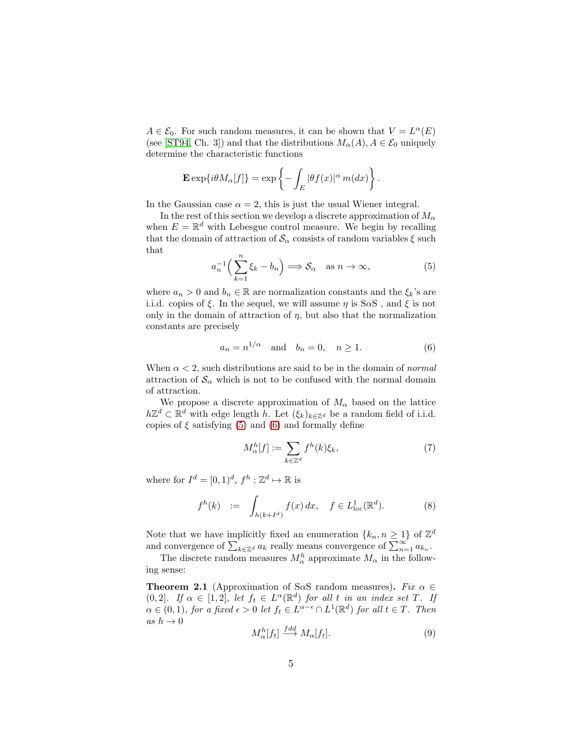$A \in \mathcal{E}_0$ . For such random measures, it can be shown that  $V = L^{\alpha}(E)$ (see [\[ST94,](#page-17-0) Ch. 3]) and that the distributions  $M_{\alpha}(A), A \in \mathcal{E}_0$  uniquely determine the characteristic functions

$$
\mathbf{E}\exp\{i\theta M_{\alpha}[f]\}=\exp\left\{-\int_{E}|\theta f(x)|^{\alpha}m(dx)\right\}.
$$

In the Gaussian case  $\alpha = 2$ , this is just the usual Wiener integral.

In the rest of this section we develop a discrete approximation of  $M_{\alpha}$ when  $E = \mathbb{R}^d$  with Lebesgue control measure. We begin by recalling that the domain of attraction of  $\mathcal{S}_{\alpha}$  consists of random variables  $\xi$  such that

<span id="page-4-1"></span>
$$
a_n^{-1}\left(\sum_{k=1}^n \xi_k - b_n\right) \Longrightarrow \mathcal{S}_\alpha \quad \text{as } n \to \infty,
$$
 (5)

where  $a_n > 0$  and  $b_n \in \mathbb{R}$  are normalization constants and the  $\xi_k$ 's are i.i.d. copies of  $\xi$ . In the sequel, we will assume  $\eta$  is S $\alpha$ S, and  $\xi$  is not only in the domain of attraction of  $\eta$ , but also that the normalization constants are precisely

<span id="page-4-2"></span>
$$
a_n = n^{1/\alpha} \quad \text{and} \quad b_n = 0, \quad n \ge 1. \tag{6}
$$

When  $\alpha < 2$ , such distributions are said to be in the domain of *normal* attraction of  $\mathcal{S}_{\alpha}$  which is not to be confused with the normal domain of attraction.

We propose a discrete approximation of  $M_{\alpha}$  based on the lattice  $h\mathbb{Z}^d \subset \mathbb{R}^d$  with edge length h. Let  $(\xi_k)_{k \in \mathbb{Z}^d}$  be a random field of i.i.d. copies of  $\xi$  satisfying [\(5\)](#page-4-1) and [\(6\)](#page-4-2) and formally define

<span id="page-4-4"></span>
$$
M_{\alpha}^{h}[f] := \sum_{k \in \mathbb{Z}^{d}} f^{h}(k)\xi_{k},\tag{7}
$$

where for  $I^d = [0,1)^d$ ,  $f^h : \mathbb{Z}^d \mapsto \mathbb{R}$  is

<span id="page-4-5"></span>
$$
f^{h}(k) := \int_{h(k+I^{d})} f(x) dx, \quad f \in L^{1}_{loc}(\mathbb{R}^{d}).
$$
 (8)

Note that we have implicitly fixed an enumeration  $\{k_n, n \geq 1\}$  of  $\mathbb{Z}^d$ and convergence of  $\sum_{k\in\mathbb{Z}^d} a_k$  really means convergence of  $\sum_{n=1}^{\infty} a_{k_n}$ .

The discrete random measures  $M^h_{\alpha}$  approximate  $M_{\alpha}$  in the following sense:

<span id="page-4-0"></span>**Theorem 2.1** (Approximation of S $\alpha$ S random measures). *Fix*  $\alpha \in$  $(0, 2]$ *.* If  $\alpha \in [1, 2]$ *, let*  $f_t \in L^{\alpha}(\mathbb{R}^d)$  *for all* t *in an index set* T. If  $\alpha \in (0,1)$ , for a fixed  $\epsilon > 0$  let  $f_t \in L^{\alpha-\epsilon} \cap L^1(\mathbb{R}^d)$  for all  $t \in T$ . Then *as*  $h \to 0$ 

<span id="page-4-3"></span>
$$
M_{\alpha}^{h}[f_{t}] \stackrel{fdd}{\longrightarrow} M_{\alpha}[f_{t}]. \tag{9}
$$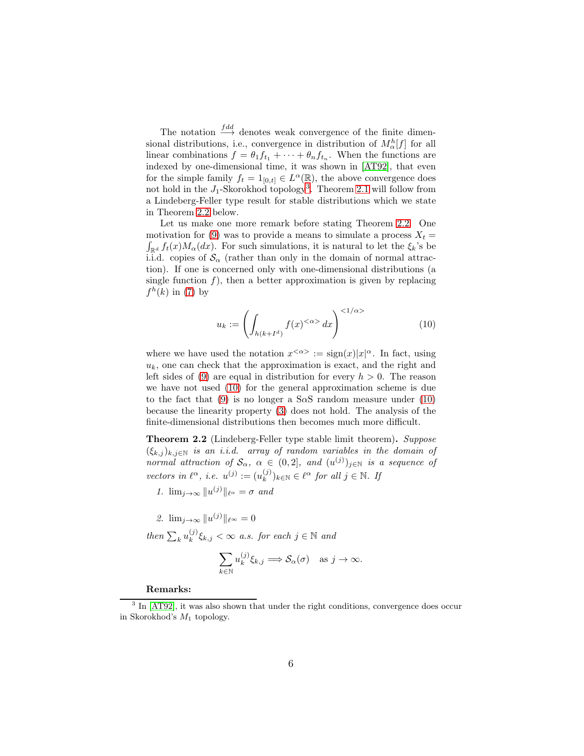The notation  $\stackrel{fdd}{\longrightarrow}$  denotes weak convergence of the finite dimensional distributions, i.e., convergence in distribution of  $M_{\alpha}^{h}[f]$  for all linear combinations  $f = \theta_1 f_{t_1} + \cdots + \theta_n f_{t_n}$ . When the functions are indexed by one-dimensional time, it was shown in [\[AT92\]](#page-15-1), that even for the simple family  $f_t = 1_{[0,t]} \in L^{\alpha}(\mathbb{R})$ , the above convergence does not hold in the  $J_1$ -Skorokhod topology<sup>[3](#page-5-1)</sup>. Theorem [2.1](#page-4-0) will follow from a Lindeberg-Feller type result for stable distributions which we state in Theorem [2.2](#page-5-0) below.

Let us make one more remark before stating Theorem [2.2.](#page-5-0) One motivation for [\(9\)](#page-4-3) was to provide a means to simulate a process  $X_t =$  $\int_{\mathbb{R}^d} f_t(x) M_\alpha(dx)$ . For such simulations, it is natural to let the  $\xi_k$ 's be i.i.d. copies of  $\mathcal{S}_{\alpha}$  (rather than only in the domain of normal attraction). If one is concerned only with one-dimensional distributions (a single function  $f$ ), then a better approximation is given by replacing  $f^h(k)$  in [\(7\)](#page-4-4) by

<span id="page-5-2"></span>
$$
u_k := \left(\int_{h(k+I^d)} f(x)^{<\alpha>} dx\right)^{<1/\alpha>} \tag{10}
$$

where we have used the notation  $x^{<\alpha>} := \text{sign}(x)|x|^\alpha$ . In fact, using  $u_k$ , one can check that the approximation is exact, and the right and left sides of [\(9\)](#page-4-3) are equal in distribution for every  $h > 0$ . The reason we have not used [\(10\)](#page-5-2) for the general approximation scheme is due to the fact that [\(9\)](#page-4-3) is no longer a S $\alpha$ S random measure under [\(10\)](#page-5-2) because the linearity property [\(3\)](#page-3-1) does not hold. The analysis of the finite-dimensional distributions then becomes much more difficult.

<span id="page-5-0"></span>Theorem 2.2 (Lindeberg-Feller type stable limit theorem). *Suppose*  $(\xi_{k,j})_{k,j\in\mathbb{N}}$  *is an i.i.d. array of random variables in the domain of normal attraction of*  $S_\alpha$ ,  $\alpha \in (0,2]$ , and  $(u^{(j)})_{j \in \mathbb{N}}$  *is a sequence of vectors in*  $\ell^{\alpha}$ , *i.e.*  $u^{(j)} := (u_k^{(j)})$  $(k)$ <sub>k∈N</sub> ∈  $\ell^{\alpha}$  for all  $j \in \mathbb{N}$ . If

2. 
$$
\lim_{j\to\infty} ||u^{(j)}||_{\ell^{\infty}} = 0
$$

*then*  $\sum_k u_k^{(j)}$  $(k_k^{(j)}\xi_{k,j} < \infty$  *a.s. for each*  $j \in \mathbb{N}$  *and* 

$$
\sum_{k \in \mathbb{N}} u_k^{(j)} \xi_{k,j} \Longrightarrow \mathcal{S}_{\alpha}(\sigma) \quad \text{as } j \to \infty.
$$

#### Remarks:

*<sup>1.</sup>*  $\lim_{j\to\infty} ||u^{(j)}||_{\ell^{\alpha}} = \sigma$  and

<span id="page-5-1"></span><sup>&</sup>lt;sup>3</sup> In [\[AT92\]](#page-15-1), it was also shown that under the right conditions, convergence does occur in Skorokhod's  $M_1$  topology.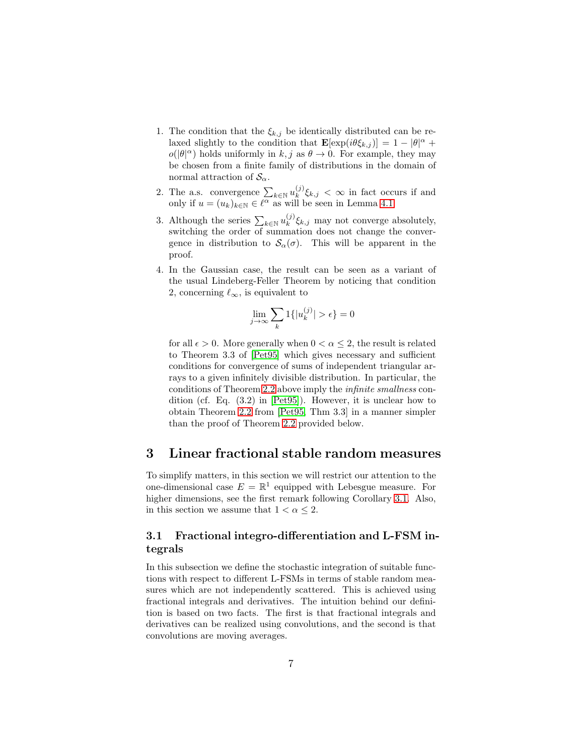- 1. The condition that the  $\xi_{k,j}$  be identically distributed can be relaxed slightly to the condition that  $\mathbf{E}[\exp(i\theta \xi_{k,j})] = 1 - |\theta|^{\alpha} +$  $o(|\theta|^{\alpha})$  holds uniformly in  $k, j$  as  $\theta \to 0$ . For example, they may be chosen from a finite family of distributions in the domain of normal attraction of  $\mathcal{S}_{\alpha}$ .
- 2. The a.s. convergence  $\sum_{k \in \mathbb{N}} u_k^{(j)}$  $\int_k^{\mathcal{F}} \zeta_{k,j} < \infty$  in fact occurs if and only if  $u = (u_k)_{k \in \mathbb{N}} \in \ell^{\alpha}$  as will be seen in Lemma [4.1.](#page-12-0)
- 3. Although the series  $\sum_{k\in\mathbb{N}}u_k^{(j)}$  $\zeta_k^{(j)} \zeta_{k,j}$  may not converge absolutely, switching the order of summation does not change the convergence in distribution to  $S_\alpha(\sigma)$ . This will be apparent in the proof.
- 4. In the Gaussian case, the result can be seen as a variant of the usual Lindeberg-Feller Theorem by noticing that condition 2, concerning  $\ell_{\infty}$ , is equivalent to

$$
\lim_{j \to \infty} \sum_{k} 1\{|u_k^{(j)}| > \epsilon\} = 0
$$

for all  $\epsilon > 0$ . More generally when  $0 < \alpha \leq 2$ , the result is related to Theorem 3.3 of [\[Pet95\]](#page-16-10) which gives necessary and sufficient conditions for convergence of sums of independent triangular arrays to a given infinitely divisible distribution. In particular, the conditions of Theorem [2.2](#page-5-0) above imply the *infinite smallness* condition (cf. Eq. (3.2) in [\[Pet95\]](#page-16-10)). However, it is unclear how to obtain Theorem [2.2](#page-5-0) from [\[Pet95,](#page-16-10) Thm 3.3] in a manner simpler than the proof of Theorem [2.2](#page-5-0) provided below.

## <span id="page-6-0"></span>3 Linear fractional stable random measures

To simplify matters, in this section we will restrict our attention to the one-dimensional case  $E = \mathbb{R}^1$  equipped with Lebesgue measure. For higher dimensions, see the first remark following Corollary [3.1.](#page-10-1) Also, in this section we assume that  $1 < \alpha \leq 2$ .

#### <span id="page-6-1"></span>3.1 Fractional integro-differentiation and L-FSM integrals

In this subsection we define the stochastic integration of suitable functions with respect to different L-FSMs in terms of stable random measures which are not independently scattered. This is achieved using fractional integrals and derivatives. The intuition behind our definition is based on two facts. The first is that fractional integrals and derivatives can be realized using convolutions, and the second is that convolutions are moving averages.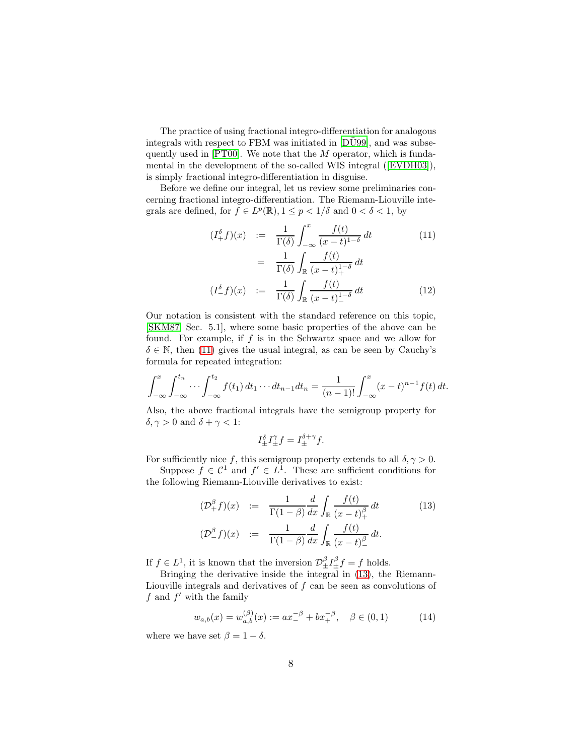The practice of using fractional integro-differentiation for analogous integrals with respect to FBM was initiated in [\[DU99\]](#page-16-11), and was subsequently used in  $[PT00]$ . We note that the  $M$  operator, which is fundamental in the development of the so-called WIS integral([\[EVDH03\]](#page-16-12)), is simply fractional integro-differentiation in disguise.

Before we define our integral, let us review some preliminaries concerning fractional integro-differentiation. The Riemann-Liouville integrals are defined, for  $f \in L^p(\mathbb{R})$ ,  $1 \leq p < 1/\delta$  and  $0 < \delta < 1$ , by

<span id="page-7-0"></span>
$$
(I_+^{\delta} f)(x) := \frac{1}{\Gamma(\delta)} \int_{-\infty}^x \frac{f(t)}{(x-t)^{1-\delta}} dt
$$
  
\n
$$
= \frac{1}{\Gamma(\delta)} \int_{\mathbb{R}} \frac{f(t)}{(x-t)_+^{1-\delta}} dt
$$
  
\n
$$
(I_-^{\delta} f)(x) := \frac{1}{\Gamma(\delta)} \int_{\mathbb{R}} \frac{f(t)}{(x-t)_-^{1-\delta}} dt
$$
 (12)

Our notation is consistent with the standard reference on this topic, [\[SKM87,](#page-17-2) Sec. 5.1], where some basic properties of the above can be found. For example, if  $f$  is in the Schwartz space and we allow for  $\delta \in \mathbb{N}$ , then [\(11\)](#page-7-0) gives the usual integral, as can be seen by Cauchy's formula for repeated integration:

$$
\int_{-\infty}^x \int_{-\infty}^{t_n} \cdots \int_{-\infty}^{t_2} f(t_1) dt_1 \cdots dt_{n-1} dt_n = \frac{1}{(n-1)!} \int_{-\infty}^x (x-t)^{n-1} f(t) dt.
$$

Also, the above fractional integrals have the semigroup property for  $\delta, \gamma > 0$  and  $\delta + \gamma < 1$ :

$$
I^{\delta}_{\pm}I^{\gamma}_{\pm}f = I^{\delta+\gamma}_{\pm}f.
$$

For sufficiently nice f, this semigroup property extends to all  $\delta, \gamma > 0$ .

Suppose  $f \in \mathcal{C}^1$  and  $f' \in L^1$ . These are sufficient conditions for the following Riemann-Liouville derivatives to exist:

<span id="page-7-1"></span>
$$
(\mathcal{D}_{+}^{\beta}f)(x) := \frac{1}{\Gamma(1-\beta)} \frac{d}{dx} \int_{\mathbb{R}} \frac{f(t)}{(x-t)_{+}^{\beta}} dt
$$
  

$$
(\mathcal{D}_{-}^{\beta}f)(x) := \frac{1}{\Gamma(1-\beta)} \frac{d}{dx} \int_{\mathbb{R}} \frac{f(t)}{(x-t)_{-}^{\beta}} dt.
$$
 (13)

If  $f \in L^1$ , it is known that the inversion  $\mathcal{D}_\pm^{\beta} I_\pm^{\beta} f = f$  holds.

Bringing the derivative inside the integral in [\(13\)](#page-7-1), the Riemann-Liouville integrals and derivatives of  $f$  can be seen as convolutions of  $f$  and  $f'$  with the family

$$
w_{a,b}(x) = w_{a,b}^{(\beta)}(x) := ax_-^{-\beta} + bx_+^{-\beta}, \quad \beta \in (0,1)
$$
 (14)

where we have set  $\beta = 1 - \delta$ .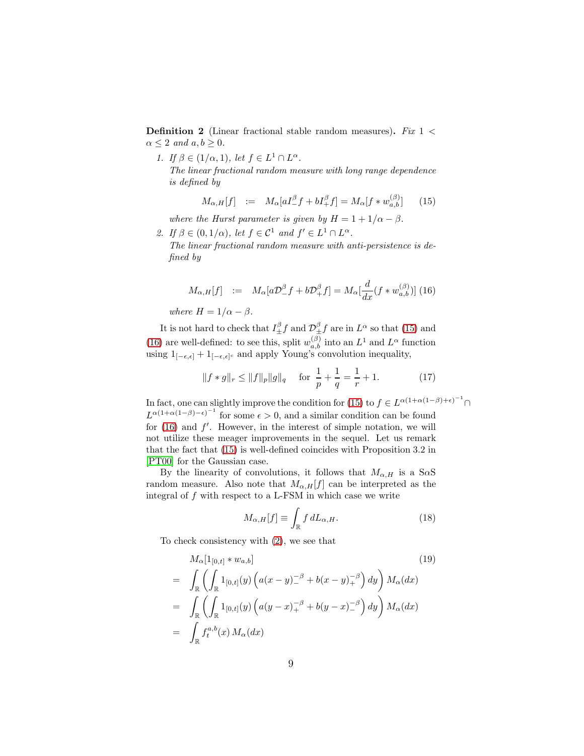Definition 2 (Linear fractional stable random measures). *Fix* 1 <  $\alpha \leq 2$  *and*  $a, b \geq 0$ *.* 

*1. If*  $\beta \in (1/\alpha, 1)$ *, let*  $f \in L^1 \cap L^{\alpha}$ *.* 

*The linear fractional random measure with long range dependence is defined by*

<span id="page-8-0"></span>
$$
M_{\alpha,H}[f] \quad := \quad M_{\alpha}[aI^{\beta}_{-}f + bI^{\beta}_{+}f] = M_{\alpha}[f * w^{(\beta)}_{a,b}] \tag{15}
$$

*where the Hurst parameter is given by*  $H = 1 + 1/\alpha - \beta$ *.* 

2. If  $\beta \in (0, 1/\alpha)$ , let  $f \in \mathcal{C}^1$  and  $f' \in L^1 \cap L^{\alpha}$ . *The linear fractional random measure with anti-persistence is defined by*

<span id="page-8-1"></span>
$$
M_{\alpha,H}[f] \quad := \quad M_{\alpha}[a\mathcal{D}^{\beta}_{-}f + b\mathcal{D}^{\beta}_{+}f] = M_{\alpha}[\frac{d}{dx}(f * w_{a,b}^{(\beta)})] \tag{16}
$$

*where*  $H = 1/\alpha - \beta$ *.* 

It is not hard to check that  $I^{\beta}_{\pm}f$  and  $\mathcal{D}^{\beta}_{\pm}f$  are in  $L^{\alpha}$  so that [\(15\)](#page-8-0) and [\(16\)](#page-8-1) are well-defined: to see this, split  $w_{a,b}^{(\beta)}$  into an  $L^1$  and  $L^{\alpha}$  function using  $1_{[-\epsilon,\epsilon]} + 1_{[-\epsilon,\epsilon]}$  and apply Young's convolution inequality,

<span id="page-8-2"></span>
$$
||f * g||_r \le ||f||_p ||g||_q \quad \text{for } \frac{1}{p} + \frac{1}{q} = \frac{1}{r} + 1.
$$
 (17)

In fact, one can slightly improve the condition for [\(15\)](#page-8-0) to  $f \in L^{\alpha(1+\alpha(1-\beta)+\epsilon)^{-1}} \cap$  $L^{\alpha(1+\alpha(1-\beta)-\epsilon)^{-1}}$  for some  $\epsilon > 0$ , and a similar condition can be found for  $(16)$  and  $f'$ . However, in the interest of simple notation, we will not utilize these meager improvements in the sequel. Let us remark that the fact that [\(15\)](#page-8-0) is well-defined coincides with Proposition 3.2 in [\[PT00\]](#page-16-6) for the Gaussian case.

By the linearity of convolutions, it follows that  $M_{\alpha,H}$  is a S $\alpha$ S random measure. Also note that  $M_{\alpha,H}[f]$  can be interpreted as the integral of  $f$  with respect to a L-FSM in which case we write

$$
M_{\alpha,H}[f] \equiv \int_{\mathbb{R}} f \, dL_{\alpha,H}.\tag{18}
$$

To check consistency with [\(2\)](#page-2-1), we see that

$$
M_{\alpha}[1_{[0,t]} * w_{a,b}]
$$
\n
$$
= \int_{\mathbb{R}} \left( \int_{\mathbb{R}} 1_{[0,t]}(y) \left( a(x - y)^{-\beta} + b(x - y)^{-\beta} \right) dy \right) M_{\alpha}(dx)
$$
\n
$$
= \int_{\mathbb{R}} \left( \int_{\mathbb{R}} 1_{[0,t]}(y) \left( a(y - x)^{-\beta} + b(y - x)^{-\beta} \right) dy \right) M_{\alpha}(dx)
$$
\n
$$
= \int_{\mathbb{R}} f_{t}^{a,b}(x) M_{\alpha}(dx)
$$
\n
$$
(19)
$$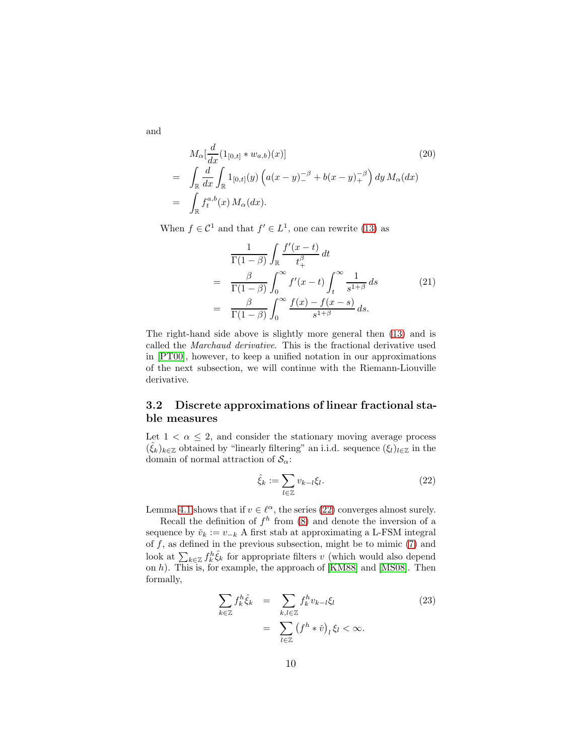and

$$
M_{\alpha}[\frac{d}{dx}(1_{[0,t]} * w_{a,b})(x)]
$$
\n
$$
= \int_{\mathbb{R}} \frac{d}{dx} \int_{\mathbb{R}} 1_{[0,t]}(y) \left( a(x - y)^{-\beta} + b(x - y)^{-\beta} \right) dy M_{\alpha}(dx)
$$
\n
$$
= \int_{\mathbb{R}} f_t^{a,b}(x) M_{\alpha}(dx).
$$
\n(20)

When  $f \in \mathcal{C}^1$  and that  $f' \in L^1$ , one can rewrite [\(13\)](#page-7-1) as

$$
\frac{1}{\Gamma(1-\beta)} \int_{\mathbb{R}} \frac{f'(x-t)}{t_+^{\beta}} dt
$$
\n
$$
= \frac{\beta}{\Gamma(1-\beta)} \int_0^{\infty} f'(x-t) \int_t^{\infty} \frac{1}{s^{1+\beta}} ds \qquad (21)
$$
\n
$$
= \frac{\beta}{\Gamma(1-\beta)} \int_0^{\infty} \frac{f(x) - f(x-s)}{s^{1+\beta}} ds.
$$

The right-hand side above is slightly more general then [\(13\)](#page-7-1) and is called the *Marchaud derivative*. This is the fractional derivative used in [\[PT00\]](#page-16-6), however, to keep a unified notation in our approximations of the next subsection, we will continue with the Riemann-Liouville derivative.

#### <span id="page-9-0"></span>3.2 Discrete approximations of linear fractional stable measures

Let  $1 < \alpha \leq 2$ , and consider the stationary moving average process  $(\hat{\xi}_k)_{k \in \mathbb{Z}}$  obtained by "linearly filtering" an i.i.d. sequence  $(\xi_l)_{l \in \mathbb{Z}}$  in the domain of normal attraction of  $\mathcal{S}_{\alpha}$ :

<span id="page-9-1"></span>
$$
\hat{\xi}_k := \sum_{l \in \mathbb{Z}} v_{k-l} \xi_l.
$$
\n(22)

Lemma [4.1](#page-12-0) shows that if  $v \in \ell^{\alpha}$ , the series [\(22\)](#page-9-1) converges almost surely.

Recall the definition of  $f<sup>h</sup>$  from [\(8\)](#page-4-5) and denote the inversion of a sequence by  $\check{v}_k := v_{-k}$  A first stab at approximating a L-FSM integral of  $f$ , as defined in the previous subsection, might be to mimic  $(7)$  and look at  $\sum_{k\in\mathbb{Z}}f_{k}^{h}\hat{\xi}_{k}$  for appropriate filters v (which would also depend on h). This is, for example, the approach of [\[KM88\]](#page-16-3) and [\[MS08\]](#page-16-7). Then formally,

$$
\sum_{k \in \mathbb{Z}} f_k^h \hat{\xi}_k = \sum_{k,l \in \mathbb{Z}} f_k^h v_{k-l} \xi_l
$$
\n
$$
= \sum_{l \in \mathbb{Z}} (f^h * \check{v})_l \xi_l < \infty.
$$
\n
$$
(23)
$$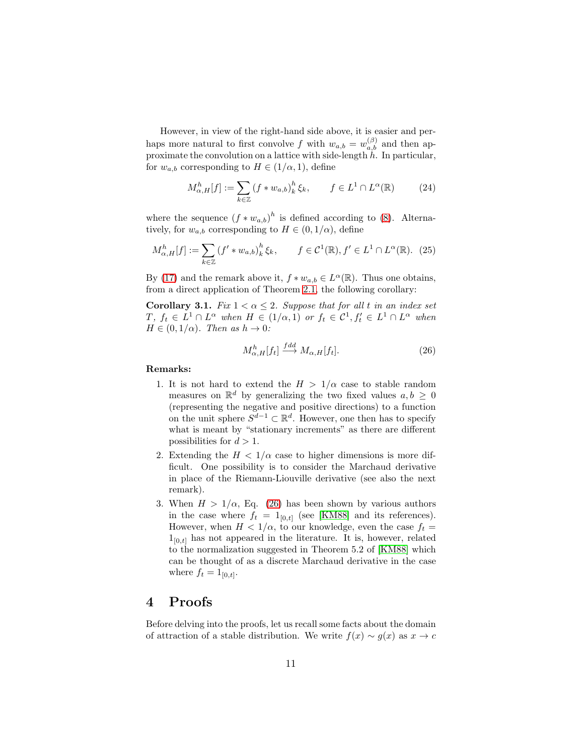However, in view of the right-hand side above, it is easier and perhaps more natural to first convolve f with  $w_{a,b} = w_{a,b}^{(\beta)}$  and then approximate the convolution on a lattice with side-length  $h$ . In particular, for  $w_{a,b}$  corresponding to  $H \in (1/\alpha, 1)$ , define

$$
M_{\alpha,H}^h[f] := \sum_{k \in \mathbb{Z}} \left( f \ast w_{a,b} \right)_k^h \xi_k, \qquad f \in L^1 \cap L^{\alpha}(\mathbb{R}) \tag{24}
$$

where the sequence  $(f * w_{a,b})^h$  is defined according to [\(8\)](#page-4-5). Alternatively, for  $w_{a,b}$  corresponding to  $H \in (0, 1/\alpha)$ , define

$$
M_{\alpha,H}^h[f] := \sum_{k \in \mathbb{Z}} \left(f' \ast w_{a,b}\right)_k^h \xi_k, \qquad f \in \mathcal{C}^1(\mathbb{R}), f' \in L^1 \cap L^{\alpha}(\mathbb{R}). \tag{25}
$$

By [\(17\)](#page-8-2) and the remark above it,  $f * w_{a,b} \in L^{\alpha}(\mathbb{R})$ . Thus one obtains, from a direct application of Theorem [2.1,](#page-4-0) the following corollary:

<span id="page-10-1"></span>**Corollary 3.1.** *Fix*  $1 < \alpha < 2$ *. Suppose that for all t in an index set*  $T, f_t \in L^1 \cap L^{\alpha}$  when  $H \in (1/\alpha, 1)$  or  $f_t \in C^1, f'_t \in L^1 \cap L^{\alpha}$  when  $H \in (0, 1/\alpha)$ *. Then as*  $h \to 0$ *:* 

<span id="page-10-2"></span>
$$
M_{\alpha,H}^h[f_t] \stackrel{fdd}{\longrightarrow} M_{\alpha,H}[f_t].
$$
\n(26)

#### Remarks:

- 1. It is not hard to extend the  $H > 1/\alpha$  case to stable random measures on  $\mathbb{R}^d$  by generalizing the two fixed values  $a, b \geq 0$ (representing the negative and positive directions) to a function on the unit sphere  $S^{d-1} \subset \mathbb{R}^d$ . However, one then has to specify what is meant by "stationary increments" as there are different possibilities for  $d > 1$ .
- 2. Extending the  $H < 1/\alpha$  case to higher dimensions is more difficult. One possibility is to consider the Marchaud derivative in place of the Riemann-Liouville derivative (see also the next remark).
- 3. When  $H > 1/\alpha$ , Eq. [\(26\)](#page-10-2) has been shown by various authors in the case where  $f_t = 1_{[0,t]}$  (see [\[KM88\]](#page-16-3) and its references). However, when  $H < 1/\alpha$ , to our knowledge, even the case  $f_t =$  $1_{[0,t]}$  has not appeared in the literature. It is, however, related to the normalization suggested in Theorem 5.2 of [\[KM88\]](#page-16-3) which can be thought of as a discrete Marchaud derivative in the case where  $f_t = 1_{[0,t]}$ .

#### <span id="page-10-0"></span>4 Proofs

Before delving into the proofs, let us recall some facts about the domain of attraction of a stable distribution. We write  $f(x) \sim g(x)$  as  $x \to c$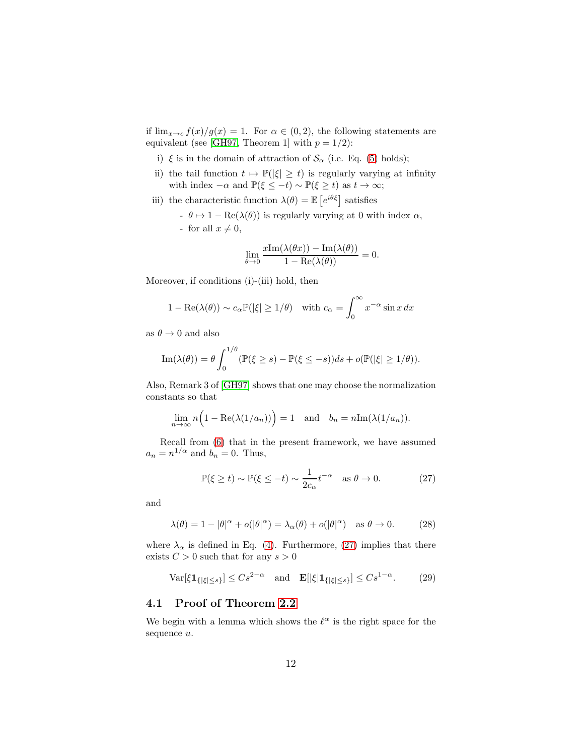if  $\lim_{x\to c} f(x)/g(x) = 1$ . For  $\alpha \in (0, 2)$ , the following statements are equivalent (see [\[GH97,](#page-16-13) Theorem 1] with  $p = 1/2$ ):

- i)  $\xi$  is in the domain of attraction of  $\mathcal{S}_{\alpha}$  (i.e. Eq. [\(5\)](#page-4-1) holds);
- ii) the tail function  $t \mapsto \mathbb{P}(|\xi| \geq t)$  is regularly varying at infinity with index  $-\alpha$  and  $\mathbb{P}(\xi \leq -t) \sim \mathbb{P}(\xi \geq t)$  as  $t \to \infty$ ;
- iii) the characteristic function  $\lambda(\theta) = \mathbb{E}\left[e^{i\theta\xi}\right]$  satisfies
	- $\theta \mapsto 1 \text{Re}(\lambda(\theta))$  is regularly varying at 0 with index  $\alpha$ , - for all  $x \neq 0$ ,

$$
\lim_{\theta \to 0} \frac{x \text{Im}(\lambda(\theta x)) - \text{Im}(\lambda(\theta))}{1 - \text{Re}(\lambda(\theta))} = 0.
$$

Moreover, if conditions (i)-(iii) hold, then

$$
1 - \text{Re}(\lambda(\theta)) \sim c_{\alpha} \mathbb{P}(|\xi| \ge 1/\theta)
$$
 with  $c_{\alpha} = \int_{0}^{\infty} x^{-\alpha} \sin x \, dx$ 

as  $\theta \to 0$  and also

Im
$$
(\lambda(\theta)) = \theta \int_0^{1/\theta} (\mathbb{P}(\xi \ge s) - \mathbb{P}(\xi \le -s))ds + o(\mathbb{P}(|\xi| \ge 1/\theta)).
$$

Also, Remark 3 of [\[GH97\]](#page-16-13) shows that one may choose the normalization constants so that

$$
\lim_{n \to \infty} n \Big( 1 - \text{Re}(\lambda(1/a_n)) \Big) = 1 \quad \text{and} \quad b_n = n \text{Im}(\lambda(1/a_n)).
$$

Recall from [\(6\)](#page-4-2) that in the present framework, we have assumed  $a_n = n^{1/\alpha}$  and  $b_n = 0$ . Thus,

<span id="page-11-1"></span>
$$
\mathbb{P}(\xi \ge t) \sim \mathbb{P}(\xi \le -t) \sim \frac{1}{2c_{\alpha}} t^{-\alpha} \quad \text{as } \theta \to 0. \tag{27}
$$

and

<span id="page-11-3"></span>
$$
\lambda(\theta) = 1 - |\theta|^{\alpha} + o(|\theta|^{\alpha}) = \lambda_{\alpha}(\theta) + o(|\theta|^{\alpha}) \quad \text{as } \theta \to 0. \tag{28}
$$

where  $\lambda_{\alpha}$  is defined in Eq. [\(4\)](#page-3-3). Furthermore, [\(27\)](#page-11-1) implies that there exists  $C > 0$  such that for any  $s > 0$ 

<span id="page-11-2"></span>
$$
\text{Var}[\xi \mathbf{1}_{\{|\xi| \le s\}}] \le Cs^{2-\alpha} \quad \text{and} \quad \mathbf{E}[|\xi|\mathbf{1}_{\{|\xi| \le s\}}] \le Cs^{1-\alpha}.\tag{29}
$$

#### <span id="page-11-0"></span>4.1 Proof of Theorem [2.2](#page-5-0)

We begin with a lemma which shows the  $\ell^{\alpha}$  is the right space for the sequence  $u$ .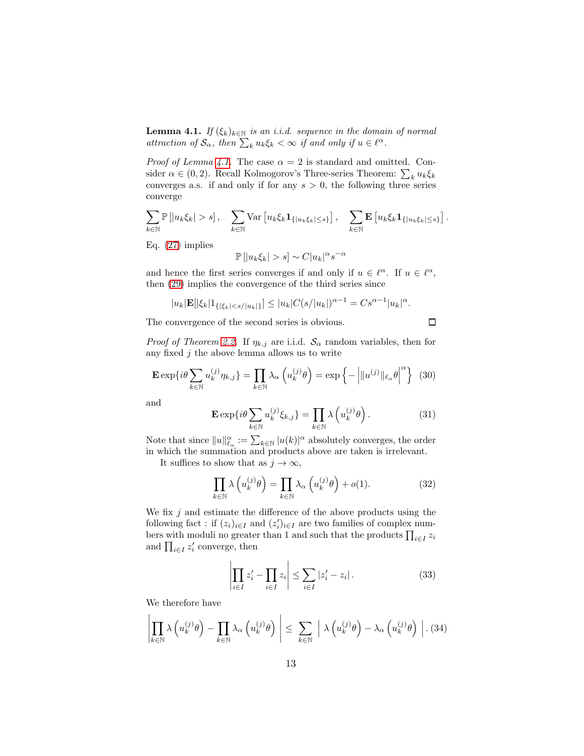<span id="page-12-0"></span>**Lemma 4.1.** *If*  $(\xi_k)_{k \in \mathbb{N}}$  *is an i.i.d. sequence in the domain of normal attraction of*  $\mathcal{S}_{\alpha}$ *, then*  $\sum_{k} u_k \xi_k < \infty$  *if and only if*  $u \in \ell^{\alpha}$ *.* 

*Proof of Lemma [4.1.](#page-12-0)* The case  $\alpha = 2$  is standard and omitted. Consider  $\alpha \in (0, 2)$ . Recall Kolmogorov's Three-series Theorem:  $\sum_{k} u_k \xi_k$ converges a.s. if and only if for any  $s > 0$ , the following three series converge

$$
\sum_{k\in\mathbb{N}}\mathbb{P}\left[\left|u_k\xi_k\right|>s\right],\quad \sum_{k\in\mathbb{N}}\text{Var}\left[u_k\xi_k\mathbf{1}_{\{|u_k\xi_k|\leq s\}}\right],\quad \sum_{k\in\mathbb{N}}\mathbf{E}\left[u_k\xi_k\mathbf{1}_{\{|u_k\xi_k|\leq s\}}\right].
$$

Eq. [\(27\)](#page-11-1) implies

$$
\mathbb{P}\left[|u_k \xi_k| > s\right] \sim C |u_k|^{\alpha} s^{-\alpha}
$$

and hence the first series converges if and only if  $u \in \ell^{\alpha}$ . If  $u \in \ell^{\alpha}$ , then [\(29\)](#page-11-2) implies the convergence of the third series since

$$
|u_k| \mathbf{E} [|\xi_k| 1_{\{|\xi_k| < s/|u_k|\}}] \leq |u_k| C(s/|u_k|)^{\alpha - 1} = C s^{\alpha - 1} |u_k|^{\alpha}.
$$

The convergence of the second series is obvious.

 $\Box$ 

*Proof of Theorem [2.2.](#page-5-0)* If  $\eta_{k,j}$  are i.i.d.  $\mathcal{S}_{\alpha}$  random variables, then for any fixed  $j$  the above lemma allows us to write

$$
\mathbf{E} \exp\{i\theta \sum_{k \in \mathbb{N}} u_k^{(j)} \eta_{k,j}\} = \prod_{k \in \mathbb{N}} \lambda_\alpha \left(u_k^{(j)} \theta\right) = \exp\left\{-\left|\|u^{(j)}\|_{\ell_\alpha} \theta\right|^\alpha\right\} (30)
$$

and

<span id="page-12-3"></span>
$$
\mathbf{E} \exp\{i\theta \sum_{k \in \mathbb{N}} u_k^{(j)} \xi_{k,j}\} = \prod_{k \in \mathbb{N}} \lambda \left(u_k^{(j)} \theta\right). \tag{31}
$$

Note that since  $||u||_{\ell_\alpha}^\alpha := \sum_{k \in \mathbb{N}} |u(k)|^\alpha$  absolutely converges, the order in which the summation and products above are taken is irrelevant.

It suffices to show that as  $j \to \infty$ ,

<span id="page-12-2"></span>
$$
\prod_{k \in \mathbb{N}} \lambda \left( u_k^{(j)} \theta \right) = \prod_{k \in \mathbb{N}} \lambda_\alpha \left( u_k^{(j)} \theta \right) + o(1). \tag{32}
$$

We fix  $j$  and estimate the difference of the above products using the following fact : if  $(z_i)_{i \in I}$  and  $(z'_i)_{i \in I}$  are two families of complex numbers with moduli no greater than 1 and such that the products  $\prod_{i \in I} z_i$ and  $\prod_{i \in I} z'_i$  converge, then

$$
\left| \prod_{i \in I} z'_i - \prod_{i \in I} z_i \right| \le \sum_{i \in I} |z'_i - z_i| \,. \tag{33}
$$

We therefore have

<span id="page-12-1"></span>
$$
\left| \prod_{k \in \mathbb{N}} \lambda \left( u_k^{(j)} \theta \right) - \prod_{k \in \mathbb{N}} \lambda_\alpha \left( u_k^{(j)} \theta \right) \right| \leq \sum_{k \in \mathbb{N}} \left| \lambda \left( u_k^{(j)} \theta \right) - \lambda_\alpha \left( u_k^{(j)} \theta \right) \right| . (34)
$$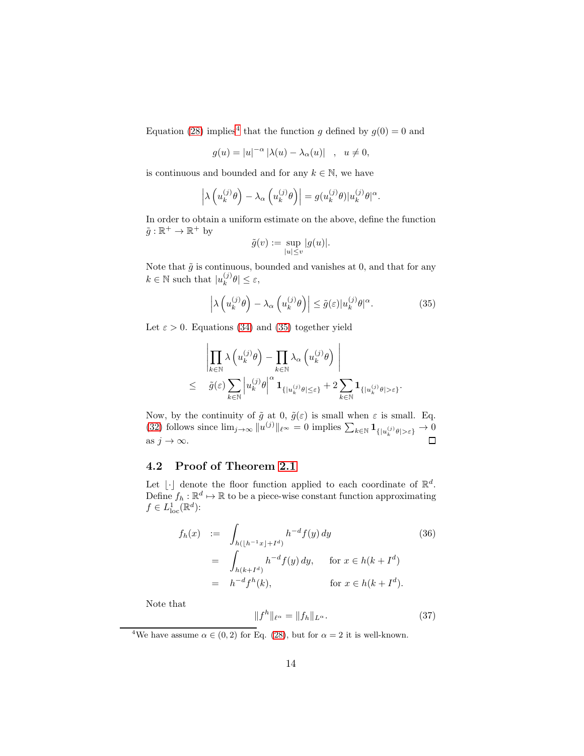Equation [\(28\)](#page-11-3) implies<sup>[4](#page-13-1)</sup> that the function g defined by  $g(0) = 0$  and

$$
g(u) = |u|^{-\alpha} |\lambda(u) - \lambda_{\alpha}(u)| \quad , \quad u \neq 0,
$$

is continuous and bounded and for any  $k \in \mathbb{N}$ , we have

$$
\left|\lambda\left(u_k^{(j)}\theta\right)-\lambda_\alpha\left(u_k^{(j)}\theta\right)\right|=g(u_k^{(j)}\theta)|u_k^{(j)}\theta|^\alpha.
$$

In order to obtain a uniform estimate on the above, define the function  $\tilde{g} : \mathbb{R}^+ \to \mathbb{R}^+$  by

$$
\tilde{g}(v) := \sup_{|u| \le v} |g(u)|.
$$

Note that  $\tilde{g}$  is continuous, bounded and vanishes at 0, and that for any  $k \in \mathbb{N}$  such that  $|u_k^{(j)}|$  $\left|\int\limits_{k}^{(J)}\theta\right| \leq \varepsilon,$ 

<span id="page-13-2"></span>
$$
\left| \lambda \left( u_k^{(j)} \theta \right) - \lambda_\alpha \left( u_k^{(j)} \theta \right) \right| \le \tilde{g}(\varepsilon) |u_k^{(j)} \theta|^\alpha. \tag{35}
$$

 $\mathbf{I}$ 

Let  $\varepsilon > 0$ . Equations [\(34\)](#page-12-1) and [\(35\)](#page-13-2) together yield

$$
\left| \prod_{k \in \mathbb{N}} \lambda \left( u_k^{(j)} \theta \right) - \prod_{k \in \mathbb{N}} \lambda_\alpha \left( u_k^{(j)} \theta \right) \right|
$$
  
 
$$
\leq \quad \tilde{g}(\varepsilon) \sum_{k \in \mathbb{N}} \left| u_k^{(j)} \theta \right|^\alpha \mathbf{1}_{\{|u_k^{(j)} \theta| \leq \varepsilon\}} + 2 \sum_{k \in \mathbb{N}} \mathbf{1}_{\{|u_k^{(j)} \theta| > \varepsilon\}}.
$$

Now, by the continuity of  $\tilde{g}$  at 0,  $\tilde{g}(\varepsilon)$  is small when  $\varepsilon$  is small. Eq. [\(32\)](#page-12-2) follows since  $\lim_{j\to\infty} ||u^{(j)}||_{\ell^{\infty}} = 0$  implies  $\sum_{k\in\mathbb{N}} \mathbf{1}_{\{|u_k^{(j)}\theta|>\varepsilon\}} \to 0$ as  $j \to \infty$ .

#### <span id="page-13-0"></span>4.2 Proof of Theorem [2.1](#page-4-0)

Let  $\lfloor \cdot \rfloor$  denote the floor function applied to each coordinate of  $\mathbb{R}^d$ . Define  $f_h: \mathbb{R}^d \mapsto \mathbb{R}$  to be a piece-wise constant function approximating  $f \in L^1_{\text{loc}}(\mathbb{R}^d)$ :

$$
f_h(x) := \int_{h(\lfloor h^{-1}x \rfloor + I^d)} h^{-d} f(y) dy
$$
(36)  
= 
$$
\int_{h(k+I^d)} h^{-d} f(y) dy, \quad \text{for } x \in h(k+I^d)
$$
  
= 
$$
h^{-d} f^h(k), \quad \text{for } x \in h(k+I^d).
$$

Note that

<span id="page-13-3"></span>
$$
||f^h||_{\ell^\alpha} = ||f_h||_{L^\alpha}.
$$
\n(37)

<span id="page-13-1"></span><sup>4</sup>We have assume  $\alpha \in (0, 2)$  for Eq. [\(28\)](#page-11-3), but for  $\alpha = 2$  it is well-known.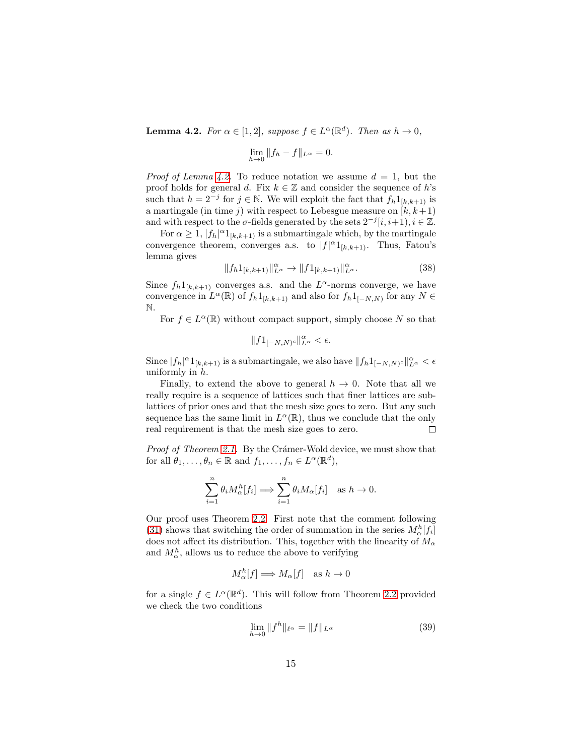<span id="page-14-0"></span>**Lemma 4.2.** For  $\alpha \in [1,2]$ , suppose  $f \in L^{\alpha}(\mathbb{R}^d)$ . Then as  $h \to 0$ ,

$$
\lim_{h \to 0} \|f_h - f\|_{L^{\alpha}} = 0.
$$

*Proof of Lemma [4.2.](#page-14-0)* To reduce notation we assume  $d = 1$ , but the proof holds for general d. Fix  $k \in \mathbb{Z}$  and consider the sequence of h's such that  $h = 2^{-j}$  for  $j \in \mathbb{N}$ . We will exploit the fact that  $f_h 1_{[k,k+1)}$  is a martingale (in time j) with respect to Lebesgue measure on  $[k, k+1]$ and with respect to the  $\sigma$ -fields generated by the sets  $2^{-j}[i, i+1], i \in \mathbb{Z}$ .

For  $\alpha \geq 1$ ,  $|f_h|^{\alpha}1_{[k,k+1)}$  is a submartingale which, by the martingale convergence theorem, converges a.s. to  $|f|^{\alpha}1_{[k,k+1)}$ . Thus, Fatou's lemma gives

<span id="page-14-2"></span>
$$
||f_h1_{[k,k+1)}||^{\alpha}_{L^{\alpha}} \to ||f1_{[k,k+1)}||^{\alpha}_{L^{\alpha}}.
$$
\n(38)

Since  $f_h 1_{[k,k+1]}$  converges a.s. and the  $L^{\alpha}$ -norms converge, we have convergence in  $L^{\alpha}(\mathbb{R})$  of  $f_h 1_{[k,k+1)}$  and also for  $f_h 1_{[-N,N)}$  for any  $N \in$ N.

For  $f \in L^{\alpha}(\mathbb{R})$  without compact support, simply choose N so that

$$
||f1_{[-N,N)^c}||_{L^{\alpha}}^{\alpha} < \epsilon.
$$

Since  $|f_h|^\alpha 1_{[k,k+1)}$  is a submartingale, we also have  $||f_h 1_{[-N,N)^c}||^{\alpha}_{L^\alpha} < \epsilon$ uniformly in  $h$ .

Finally, to extend the above to general  $h \to 0$ . Note that all we really require is a sequence of lattices such that finer lattices are sublattices of prior ones and that the mesh size goes to zero. But any such sequence has the same limit in  $L^{\alpha}(\mathbb{R})$ , thus we conclude that the only real requirement is that the mesh size goes to zero.  $\Box$ 

*Proof of Theorem [2.1.](#page-4-0)* By the Crámer-Wold device, we must show that for all  $\theta_1, \ldots, \theta_n \in \mathbb{R}$  and  $f_1, \ldots, f_n \in L^{\alpha}(\mathbb{R}^d)$ ,

$$
\sum_{i=1}^n \theta_i M_\alpha^h[f_i] \Longrightarrow \sum_{i=1}^n \theta_i M_\alpha[f_i] \text{ as } h \to 0.
$$

Our proof uses Theorem [2.2.](#page-5-0) First note that the comment following [\(31\)](#page-12-3) shows that switching the order of summation in the series  $M_{\alpha}^{h}[f_i]$ does not affect its distribution. This, together with the linearity of  $M_{\alpha}$ and  $M_{\alpha}^{h}$ , allows us to reduce the above to verifying

$$
M_{\alpha}^{h}[f] \Longrightarrow M_{\alpha}[f] \quad \text{as } h \to 0
$$

for a single  $f \in L^{\alpha}(\mathbb{R}^d)$ . This will follow from Theorem [2.2](#page-5-0) provided we check the two conditions

<span id="page-14-1"></span>
$$
\lim_{h \to 0} \|f^h\|_{\ell^\alpha} = \|f\|_{L^\alpha}
$$
\n(39)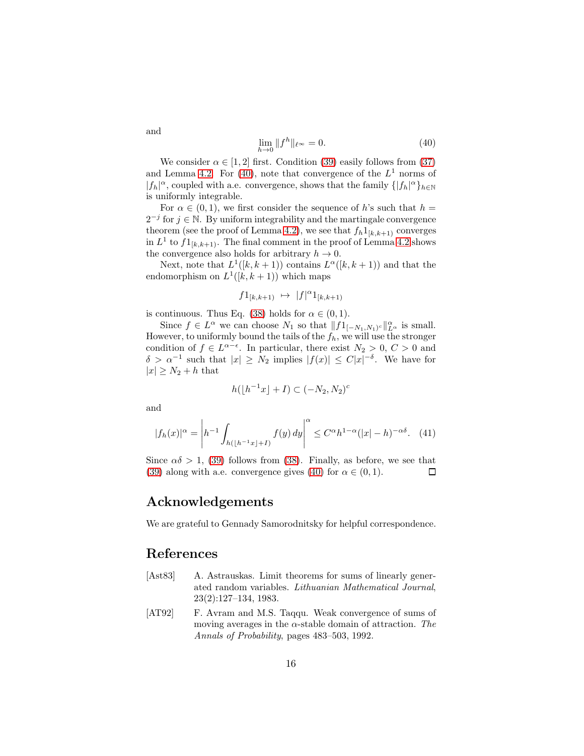<span id="page-15-2"></span>
$$
\lim_{h \to 0} \|f^h\|_{\ell^\infty} = 0.
$$
\n(40)

We consider  $\alpha \in [1, 2]$  first. Condition [\(39\)](#page-14-1) easily follows from [\(37\)](#page-13-3) and Lemma [4.2.](#page-14-0) For [\(40\)](#page-15-2), note that convergence of the  $L^1$  norms of  $|f_h|^{\alpha}$ , coupled with a.e. convergence, shows that the family  $\{|f_h|^{\alpha}\}_{h\in\mathbb{N}}$ is uniformly integrable.

For  $\alpha \in (0,1)$ , we first consider the sequence of h's such that  $h =$  $2^{-j}$  for  $j \in \mathbb{N}$ . By uniform integrability and the martingale convergence theorem (see the proof of Lemma [4.2\)](#page-14-0), we see that  $f_h 1_{[k,k+1]}$  converges in  $L^1$  to  $f1_{[k,k+1)}$ . The final comment in the proof of Lemma [4.2](#page-14-0) shows the convergence also holds for arbitrary  $h \to 0$ .

Next, note that  $L^1([k, k+1))$  contains  $L^{\alpha}([k, k+1))$  and that the endomorphism on  $L^1([k,k+1))$  which maps

$$
f1_{[k,k+1)} \ \mapsto \ |f|^\alpha 1_{[k,k+1)}
$$

is continuous. Thus Eq. [\(38\)](#page-14-2) holds for  $\alpha \in (0,1)$ .

Since  $f \in L^{\alpha}$  we can choose  $N_1$  so that  $||f1_{[-N_1,N_1]^c}||_{L^{\alpha}}^{\alpha}$  is small. However, to uniformly bound the tails of the  $f_h$ , we will use the stronger condition of  $f \in L^{\alpha-\epsilon}$ . In particular, there exist  $N_2 > 0$ ,  $C > 0$  and  $\delta > \alpha^{-1}$  such that  $|x| \geq N_2$  implies  $|f(x)| \leq C|x|^{-\delta}$ . We have for  $|x| \geq N_2 + h$  that

$$
h(\lfloor h^{-1}x \rfloor + I) \subset (-N_2, N_2)^c
$$

and

$$
|f_h(x)|^{\alpha} = \left| h^{-1} \int_{h(|h^{-1}x|+I)} f(y) \, dy \right|^{\alpha} \le C^{\alpha} h^{1-\alpha} (|x| - h)^{-\alpha \delta}.
$$
 (41)

Since  $\alpha\delta > 1$ , [\(39\)](#page-14-1) follows from [\(38\)](#page-14-2). Finally, as before, we see that [\(39\)](#page-14-1) along with a.e. convergence gives [\(40\)](#page-15-2) for  $\alpha \in (0,1)$ .  $\Box$ 

#### Acknowledgements

We are grateful to Gennady Samorodnitsky for helpful correspondence.

## References

- <span id="page-15-0"></span>[Ast83] A. Astrauskas. Limit theorems for sums of linearly generated random variables. *Lithuanian Mathematical Journal*, 23(2):127–134, 1983.
- <span id="page-15-1"></span>[AT92] F. Avram and M.S. Taqqu. Weak convergence of sums of moving averages in the  $\alpha$ -stable domain of attraction. *The Annals of Probability*, pages 483–503, 1992.

and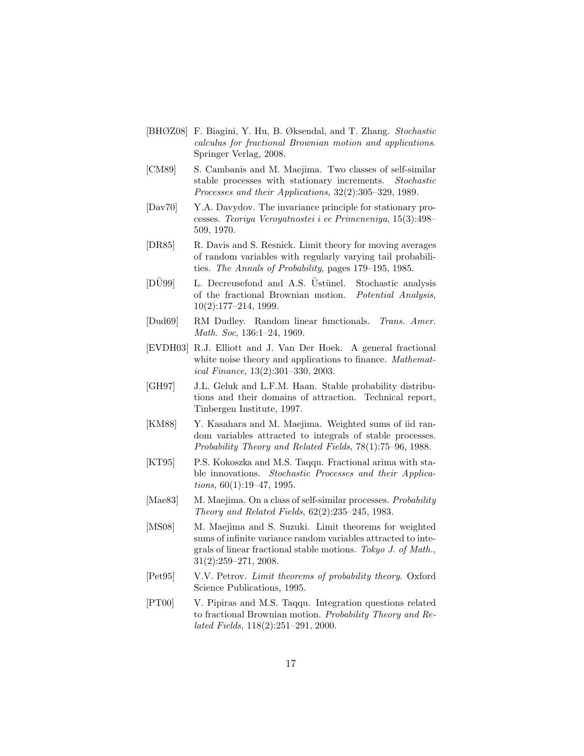- <span id="page-16-5"></span>[BHØZ08] F. Biagini, Y. Hu, B. Øksendal, and T. Zhang. *Stochastic calculus for fractional Brownian motion and applications*. Springer Verlag, 2008.
- <span id="page-16-8"></span>[CM89] S. Cambanis and M. Maejima. Two classes of self-similar stable processes with stationary increments. *Stochastic Processes and their Applications*, 32(2):305–329, 1989.
- <span id="page-16-0"></span>[Dav70] Y.A. Davydov. The invariance principle for stationary processes. *Teoriya Veroyatnostei i ee Primeneniya*, 15(3):498– 509, 1970.
- <span id="page-16-2"></span>[DR85] R. Davis and S. Resnick. Limit theory for moving averages of random variables with regularly varying tail probabilities. *The Annals of Probability*, pages 179–195, 1985.
- <span id="page-16-11"></span>[DU99] L. Decreusefond and A.S. Ustünel. Stochastic analysis of the fractional Brownian motion. *Potential Analysis*, 10(2):177–214, 1999.
- <span id="page-16-9"></span>[Dud69] RM Dudley. Random linear functionals. *Trans. Amer. Math. Soc*, 136:1–24, 1969.
- <span id="page-16-12"></span>[EVDH03] R.J. Elliott and J. Van Der Hoek. A general fractional white noise theory and applications to finance. *Mathematical Finance*, 13(2):301–330, 2003.
- <span id="page-16-13"></span>[GH97] J.L. Geluk and L.F.M. Haan. Stable probability distributions and their domains of attraction. Technical report, Tinbergen Institute, 1997.
- <span id="page-16-3"></span>[KM88] Y. Kasahara and M. Maejima. Weighted sums of iid random variables attracted to integrals of stable processes. *Probability Theory and Related Fields*, 78(1):75–96, 1988.
- <span id="page-16-4"></span>[KT95] P.S. Kokoszka and M.S. Taqqu. Fractional arima with stable innovations. *Stochastic Processes and their Applications*, 60(1):19–47, 1995.
- <span id="page-16-1"></span>[Mae83] M. Maejima. On a class of self-similar processes. *Probability Theory and Related Fields*, 62(2):235–245, 1983.
- <span id="page-16-7"></span>[MS08] M. Maejima and S. Suzuki. Limit theorems for weighted sums of infinite variance random variables attracted to integrals of linear fractional stable motions. *Tokyo J. of Math.*, 31(2):259–271, 2008.
- <span id="page-16-10"></span>[Pet95] V.V. Petrov. *Limit theorems of probability theory*. Oxford Science Publications, 1995.
- <span id="page-16-6"></span>[PT00] V. Pipiras and M.S. Taqqu. Integration questions related to fractional Brownian motion. *Probability Theory and Related Fields*, 118(2):251–291, 2000.